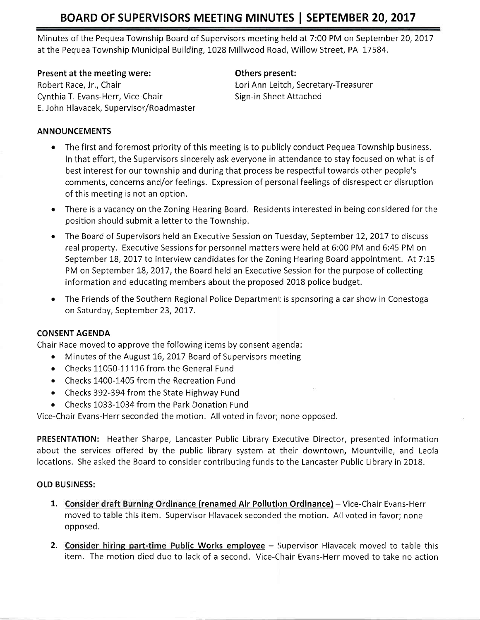Minutes of the Pequea Township Board of Supervisors meeting held at 7:00 PM on September 20,2017 at the Pequea Township Municipal Building, 1028 Millwood Road, Willow Street, PA 17584.

#### Present at the meeting were:

Robert Race, Jr,, Chair Cynthia T. Evans-Herr, Vice-Chair E. John Hlavacek, Supervisor/Roadmaster

### Others present:

Lori Ann Leitch, Secretary-Treasurer Sign-in Sheet Attached

### ANNOUNCEMENTS

- The first and foremost priority of this meeting is to publicly conduct Pequea Township business. In that effort, the Supervisors sincerely ask everyone in attendance to stay focused on what is of best interest for our township and during that process be respectful towards other people's comments, concerns and/or feelings. Expression of personalfeelings of disrespect or disruption of this meeting is not an option.
- There is a vacancy on the Zoning Hearing Board. Residents interested in being considered for the position should submit a letter to the Township.
- The Board of Supervisors held an Executive Session on Tuesday, September 12, 2017 to discuss real property. Executive Sessions for personnel matters were held at 6:00 PM and 6:45 PM on September 18, 2017 to interview candidates for the Zoning Hearing Board appointment. At 7:15 PM on September 18, 2017, the Board held an Executive Session for the purpose of collecting information and educating members about the proposed 2018 police budget.
- The Friends of the Southern Regional Police Department is sponsoring a car show in Conestoga on Saturday, September 23, 2017.

### CONSENT AGENDA

Chair Race moved to approve the following items by consent agenda:

- Minutes of the August 16, 2017 Board of Supervisors meeting
- Checks 11050-11116 from the General Fund
- o Checks 1400-1405 from the Recreation Fund
- $\bullet$  Checks 392-394 from the State Highway Fund
- Checks 1033-1034 from the Park Donation Fund

Vice-Chair Evans-Herr seconded the motion, All voted in favor; none opposed.

PRESENTATION: Heather Sharpe, Lancaster Public Library Executive Director, presented information about the services offered by the public library system at their downtown, Mountville, and Leola locations. She asked the Board to consider contributing funds to the Lancaster Public Library in 2018.

### OLD BUSINESS:

- 1. Consider draft Burning Ordinance (renamed Air Pollution Ordinance) Vice-Chair Evans-Herr moved to table this item. Supervisor Hlavacek seconded the motion. All voted in favor; none opposed,
- 2. Consider hiring part-time Public Works employee Supervisor Hlavacek moved to table this item. The motion died due to liack of a second. Vice-Chair Evans-Herr moved to take no action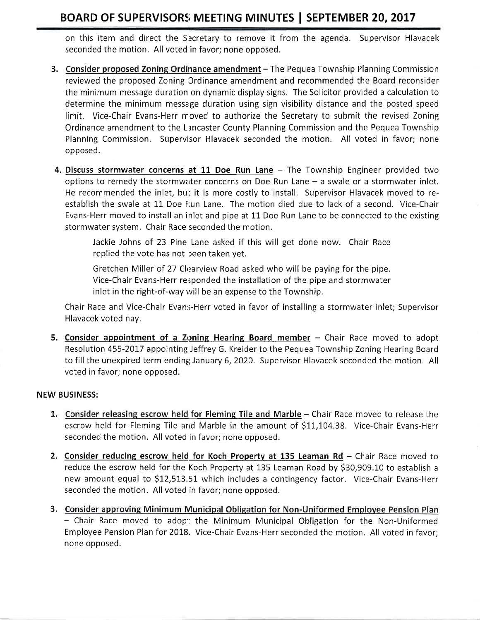on this item and direct the Secretary to remove it from the agenda. Supervisor Hlavacek seconded the motion. All voted in favor; none opposed.

- 3. Consider proposed Zoning Ordinance amendment The Pequea Township Planning Commission reviewed the proposed Zoning Ordinance amendment and recommended the Board reconsider the minimum message duration on dynamic display signs, The Solicitor provided a calculation to determine the minimum message duration using sign visibility distance and the posted speed limit. Vice-Chair Evans-Herr moved to authorize the Secretary to submit the revised Zoning Ordinance amendment to the Lancaster County Planning Commission and the Pequea Township Planning Commission. Supervisor Hlavacek seconded the motion. All voted in favor; none opposed.
- 4. Discuss stormwater concerns at 11 Doe Run Lane The Township Engineer provided two options to remedy the stormwater concerns on Doe Run Lane  $-$  a swale or a stormwater inlet. He recommended the inlet, but it is more costly to install. Supervisor Hlavacek moved to reestablish the swale at 11 Doe Run Lane. The motion died due to lack of a second. Vice-Chair Evans-Herr moved to install an inlet and pipe at 11 Doe Run Lane to be connected to the existing stormwater system. Chair Race seconded the motion.

Jackie Johns of 23 Pine Lane asked if this will get done now. Chair Race replied the vote has not been taken yet.

Gretchen Miller of 27 Clearview Road asked who will be paying for the pipe. Vice-Chair Evans-Herr responded the installation of the pipe and stormwater inlet in the right-of-way will be an expense to the Township.

Chair Race and Vice-Chair Evans-Herr voted in favor of installing a stormwater inlet; Supervisor Hlavacek voted nay,

5. Consider appointment of a Zoning Hearing Board member – Chair Race moved to adopt Resolution 455-2017 appointing Jeffrey G. Kreider to the Pequea Township Zoning Hearing Board to fill the unexpired term ending January 6, 2020. Supervisor Hlavacek seconded the motion. All voted in favor; none opposed.

### NEW BUSINESS:

- 1. Consider releasing escrow held for Fleming Tile and Marble Chair Race moved to release the escrow held for Fleming Tile and Marble in the amount of \$11,104,38. Vice-Chair Evans-Herr seconded the motion. All voted in favor; none opposed.
- 2. Consider reducing escrow held for Koch Property at 135 Leaman Rd Chair Race moved to reduce the escrow held for the Koch Property at 135 Leaman Road by \$30,909.10 to establish a new amount equal to \$12,513.51 which includes a contingency factor. Vice-Chair Evans-Herr seconded the motion. All voted in favor; none opposed.
- 3. Consider approving Minimum Municipal Obligation for Non-Uniformed Employee Pension Plan - Chair Race moved to adopt the Minimum Municipal Obligation for the Non-Uniformed Employee Pension Plan for 2018. Vice-Chair Evans-Herr seconded the motion. All voted in favor; none opposed.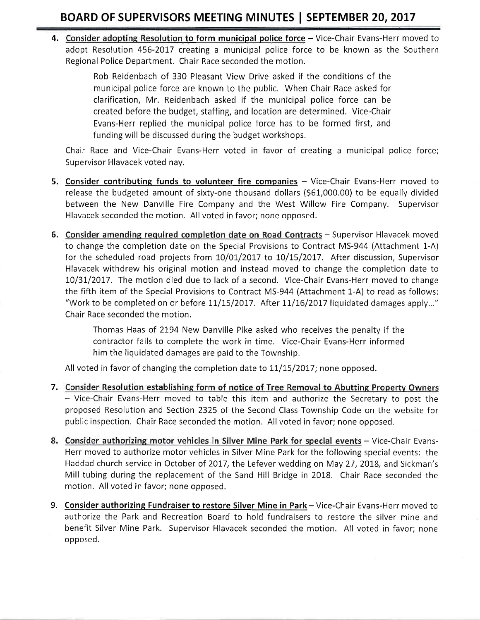4. Consider adopting Resolution to form municipal police force - Vice-Chair Evans-Herr moved to adopt Resolution 456-2017 creating a municipal police force to be known as the Southern Regional Police Department. Chair Race seconded the motion.

> Rob Reidenbach of 330 Pleasant View Drive asked if the conditions of the municipal police force are known to the public. When Chair Race asked for clarification, Mr. Reidenbach asked if the municipal police force can be created before the budget, staffing, and location are determined. Vice-Chair Evans-Herr replied the municipal police force has to be formed first, and funding will be discussed during the budget workshops.

Chair Race and Vice-Chair Evans-Herr voted in favor of creating a municipal police force; Supervisor Hlavacek voted nay.

- 5. Consider contributing funds to volunteer fire companies Vice-Chair Evans-Herr moved to release the budgeted amount of sixty-one thousand dollars (561,000.00) to be equally divided between the New Danville Fire Company and the West Willow Fire Company. Supervisor Hlavacek seconded the motion. All voted in favor; none opposed.
- 6. Consider amending required completion date on Road Contracts Supervisor Hlavacek moved to change the completion date on the Special Provisions to Contract M5-944 (Attachment 1-A) for the scheduled road projects from 10/01/2017 to 10/15/2017. After discussion, Supervisor Hlavacek withdrew his original motion and instead moved to change the completion date to 10/31/2017. The motion died due to lack of a second. Vice-Chair Evans-Herr moved to change the fifth item of the Special Provisions to Contract M5-944 (Attachment 1-A) to read as follows: "Work to be completed on or before  $11/15/2017$ . After  $11/16/2017$  liquidated damages apply..." Chair Race seconded the motion.

Thomas Haas of 2194 New Danville Pike asked who receives the penalty if the contractor fails to complete the work in time. Vice-Chair Evans-Herr informed him the liquidated damages are paid to the Township,

All voted in favor of changing the completion date to  $11/15/2017$ ; none opposed.

- Vice-Chair Evans-Herr moved to table this item and authorize the Secretary to post the proposed Resolution and Section 2325 of the Second Class Township Code on the website for public inspection. Chair Race seconded the motion. All voted in favor; none opposed. 7. Consider Resolution establishing form of notice of Tree Removal to Abutting Property Owners
- 8. Consider authorizing motor vehicles in Silver Mine Park for special events Vice-Chair Evans-Herr moved to authorize motor vehicles in Silver Mine Park for the following special events: the Haddad church service in October of 2017, the Lefever wedding on May 27, 2018, and Sickman's Mill tubing during the replacement of the Sand Hill Bridge in 2018. Chair Race seconded the motion. Allvoted in favor; none opposed.
- 9. Consider authorizing Fundraiser to restore Silver Mine in Park Vice-Chair Evans-Herr moved to authorize the Park and Recreation Board to hold fundraisers to restore the silver mine and benefit Silver Mine Park. Supervisor Hlavacek seconded the motion. All voted in favor; none opposed.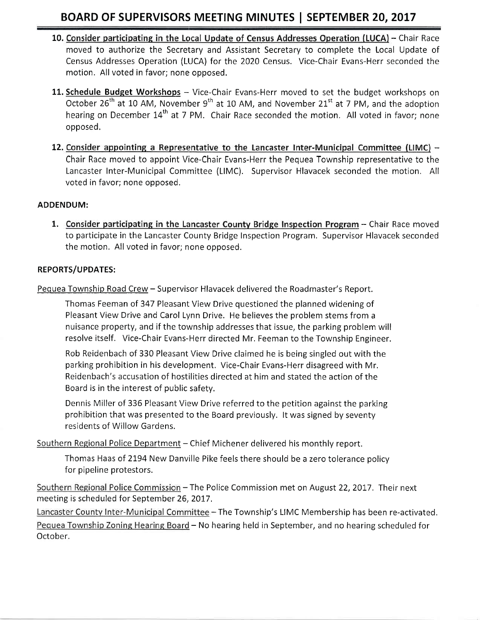- 10. Consider participating in the Local Update of Census Addresses Operation (LUCA) Chair Race moved to authorize the Secretary and Assistant Secretary to complete the Local Update of Census Addresses Operation (LUCA) for the 2020 Census. Vice-Chair Evans-Herr seconded the motion. All voted in favor; none opposed.
- 11. Schedule Budget Workshops Vice-Chair Evans-Herr moved to set the budget workshops on October 26<sup>th</sup> at 10 AM, November 9<sup>th</sup> at 10 AM, and November 21<sup>st</sup> at 7 PM, and the adoption hearing on December 14<sup>th</sup> at 7 PM. Chair Race seconded the motion. All voted in favor; none opposed.
- 12. Consider appointing a Representative to the Lancaster Inter-Municipal Committee (LIMC) -Chair Race moved to appoint Vice-Chair Evans-Herr the Pequea Township representative to the Lancaster Inter-Municipal Committee (LIMC). Supervisor Hlavacek seconded the motion. All voted in favor; none opposed.

#### ADDENDUM:

1. Consider participating in the Lancaster County Bridge Inspection Program - Chair Race moved to participate in the Lancaster County Bridge Inspection Program. Supervisor Hlavacek seconded the motion. All voted in favor; none opposed.

#### REPORTS/UPDATES:

Pequea Township Road Crew - Supervisor Hlavacek delivered the Roadmaster's Report.

Thomas Feeman of 347 Pleasant View Drive questioned the planned widening of Pleasant View Drive and Carol Lynn Drive. He believes the problem stems from <sup>a</sup> nuisance property, and if the township addressesthat issue, the parking problem will resolve itself. Vice-Chair Evans-Herr directed Mr, Feeman to the Township Engineer.

Rob Reidenbach of 330 Pleasant View Drive claimed he is being singled out with the parking prohibition in his development. Vice-Chair Evans-Herr disagreed with Mr. Reidenbach's accusation of hostilities directed at him and stated the action of the Board is in the interest of public safety.

Dennis Miller of 336 Pleasant View Drive referred to the petition against the parking prohibition that was presented to the Board previously. lt was signed by seventy residents of Willow Gardens.

Southern Regional Police Department - Chief Michener delivered his monthly report.

Thomas Haas of 2194 New Danville Pike feels there should be a zero tolerance policy for pipeline protestors.

meeting is scheduled for September 26, 2017. Southern Regional Police Commission - The Police Commission met on August 22, 2017. Their next

Lancaster County Inter-Municipal Committee - The Township's LIMC Membership has been re-activated. Pequea Township Zoning Hearing Board - No hearing held in September, and no hearing scheduled for October,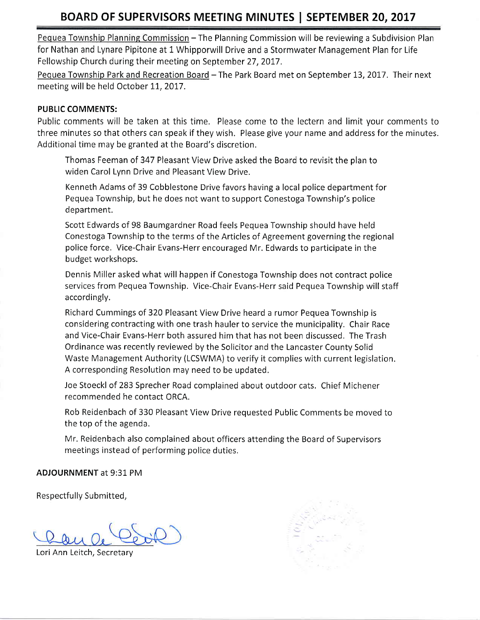Pequea Township Planning Commission – The Planning Commission will be reviewing a Subdivision Plan for Nathan and Lynare Pipitone at 1 Whipporwill Drive and a Stormwater Management Plan for Life Fellowship Church during their meeting on September 27,2017.

Pequea Township Park and Recreation Board - The Park Board met on September 13, 2017. Their next meeting will be held October 11, 2017.

#### PUBLIC COMMENTS:

Public comments will be taken at this time. Please come to the lectern and limit your comments to three minutes so that others can speak if they wish. Please give your name and address for the minutes. Additional time may be granted at the Board's discretion,

Thomas Feeman of 347 Pleasant View Drive asked the Board to revisit the plan to widen Carol Lynn Drive and Pleasant View Drive,

Kenneth Adams of 39 Cobblestone Drive favors having a local police department for Pequea Township, but he does not want to support Conestoga Township's police department.

Scott Edwards of 98 Baumgardner Road feels Pequea Township should have held Conestoga Township to the ternrs of the Articles of Agreement governing the regional police force, Vice-Chair Evans-Herr encouraged Mr. Edwards to participate in the budget workshops.

Dennis Miller asked what will happen if Conestoga Township does not contract police services from Pequea Township. Vice-Chair Evans-Herr said Pequea Township will staff accordingly.

Richard Cummings of 320 Pleasant View Drive heard a rumor Pequea Township is considering contracting with one trash hauler to service the municipality. Chair Race and Vice-Chair Evans-Herr both assured him that has not been discussed, The Trash Ordinance was recently reviewed by the Solicitor and the Lancaster County Solid Waste Management Authority (LCSWMA) to verify it complies with current legislation. A corresponding Resolution may need to be updated,

Joe Stoeckl of 283 Sprecher Road complained about outdoor cats, Chief Michener recommended he contact ORCA.

Rob Reidenbach of 330 Pleasant View Drive requested Public Comments be moved to the top of the agenda.

Mr. Reidenbach also complained about officers attending the Board of Supervisors meetings instead of performing police duties.

ADJOURNMENT at 9:31 PM

Respectfully Submitted,

Lori Ann Leitch, Secretary